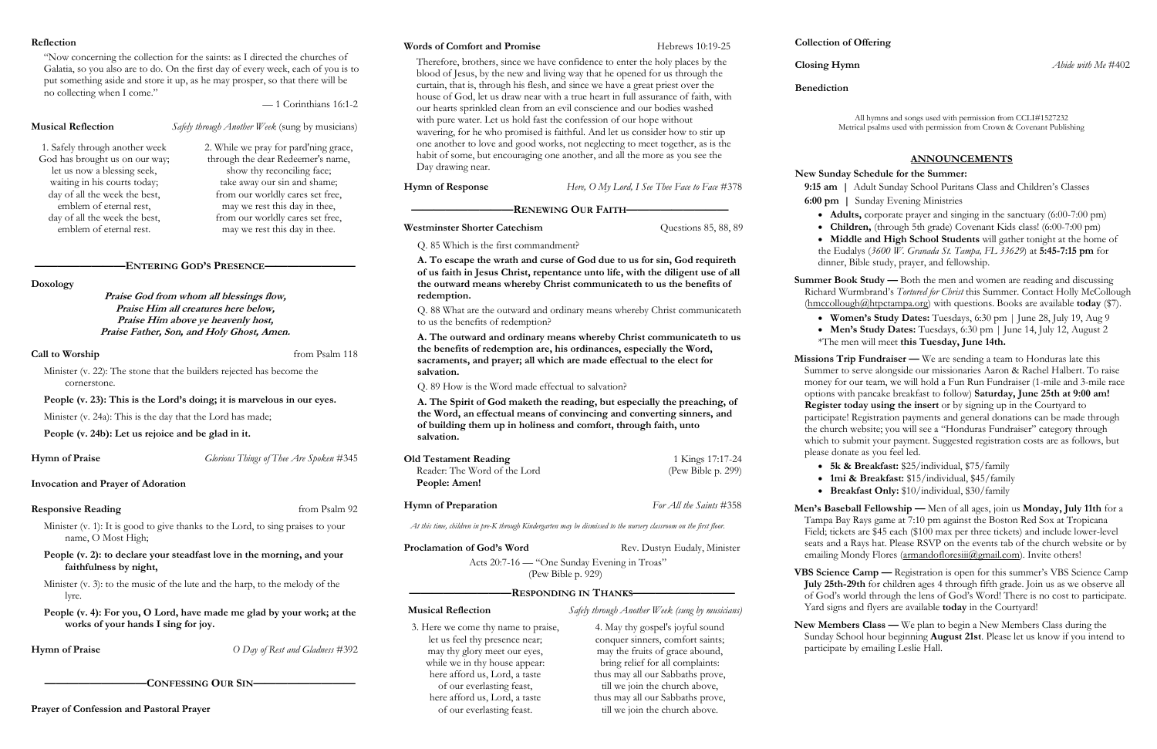## **Reflection**

"Now concerning the collection for the saints: as I directed the churches of Galatia, so you also are to do. On the first day of every week, each of you is to put something aside and store it up, as he may prosper, so that there will be no collecting when I come."

— 1 Corinthians 16:1-2

**Musical Reflection** *Safely through Another Week* (sung by musicians)

## **————————ENTERING GOD'S PRESENCE————————**

**Doxology**

**Praise God from whom all blessings flow, Praise Him all creatures here below, Praise Him above ye heavenly host, Praise Father, Son, and Holy Ghost, Amen.**

## **Call to Worship** from Psalm 118

Minister (v. 1): It is good to give thanks to the Lord, to sing praises to your name, O Most High;

Minister (v. 22): The stone that the builders rejected has become the cornerstone.

# **People (v. 23): This is the Lord's doing; it is marvelous in our eyes.**

Minister (v. 24a): This is the day that the Lord has made;

**People (v. 24b): Let us rejoice and be glad in it.** 

## **Hymn of Praise** *Glorious Things of Thee Are Spoken* #345

**Invocation and Prayer of Adoration**

# **Responsive Reading** from Psalm 92

## **People (v. 2): to declare your steadfast love in the morning, and your faithfulness by night,**

Minister (v. 3): to the music of the lute and the harp, to the melody of the lyre.

**People (v. 4): For you, O Lord, have made me glad by your work; at the works of your hands I sing for joy.**

**Hymn of Praise** *O Day of Rest and Gladness* #392

**—————————CONFESSING OUR SIN—————————**

**Prayer of Confession and Pastoral Prayer**

## **Words of Comfort and Promise** Hebrews 10:19-25

Therefore, brothers, since we have confidence to enter the holy places by the blood of Jesus, by the new and living way that he opened for us through the curtain, that is, through his flesh, and since we have a great priest over the house of God, let us draw near with a true heart in full assurance of faith, with our hearts sprinkled clean from an evil conscience and our bodies washed with pure water. Let us hold fast the confession of our hope without wavering, for he who promised is faithful. And let us consider how to stir up one another to love and good works, not neglecting to meet together, as is the habit of some, but encouraging one another, and all the more as you see the Day drawing near.

**Hymn of Response** *Here, O My Lord, I See Thee Face to Face* #378

**Summer Book Study —** Both the men and women are reading and discussing Richard Wurmbrand's *Tortured for Christ* this Summer. Contact Holly McCollough [\(hmccollough@htpctampa.org\)](mailto:hmccollough@htpctampa.org) with questions. Books are available **today** (\$7).

**—————————RENEWING OUR FAITH—————————**

**Westminster Shorter Catechism Cuestions 85, 88, 89** 

Q. 85 Which is the first commandment?

**A. To escape the wrath and curse of God due to us for sin, God requireth of us faith in Jesus Christ, repentance unto life, with the diligent use of all the outward means whereby Christ communicateth to us the benefits of redemption.**

> **Missions Trip Fundraiser —** We are sending a team to Honduras late this Summer to serve alongside our missionaries Aaron & Rachel Halbert. To raise money for our team, we will hold a Fun Run Fundraiser (1-mile and 3-mile race options with pancake breakfast to follow) **Saturday, June 25th at 9:00 am! Register today using the insert** or by signing up in the Courtyard to participate! Registration payments and general donations can be made through the church website; you will see a "Honduras Fundraiser" category through which to submit your payment. Suggested registration costs are as follows, but please donate as you feel led.

Q. 88 What are the outward and ordinary means whereby Christ communicateth to us the benefits of redemption?

**Men's Baseball Fellowship —** Men of all ages, join us **Monday, July 11th** for a Tampa Bay Rays game at 7:10 pm against the Boston Red Sox at Tropicana Field; tickets are \$45 each (\$100 max per three tickets) and include lower-level seats and a Rays hat. Please RSVP on the events tab of the church website or by emailing Mondy Flores (armandofloresiii(@gmail.com). Invite others!

**A. The outward and ordinary means whereby Christ communicateth to us the benefits of redemption are, his ordinances, especially the Word, sacraments, and prayer; all which are made effectual to the elect for salvation.** 

Q. 89 How is the Word made effectual to salvation?

VBS Science Camp — Registration is open for this summer's VBS Science Camp **July 25th-29th** for children ages 4 through fifth grade. Join us as we observe all of God's world through the lens of God's Word! There is no cost to participate. Yard signs and flyers are available **today** in the Courtyard!

**A. The Spirit of God maketh the reading, but especially the preaching, of the Word, an effectual means of convincing and converting sinners, and of building them up in holiness and comfort, through faith, unto salvation.** 

| <b>Old Testament Reading</b> | 1 Kings 17:17-24   |
|------------------------------|--------------------|
| Reader: The Word of the Lord | (Pew Bible p. 299) |
| People: Amen!                |                    |

**Hymn of Preparation** *For All the Saints* #358

*At this time, children in pre-K through Kindergarten may be dismissed to the nursery classroom on the first floor.*

**Proclamation of God's Word Rev. Dustyn Eudaly, Minister** 

Acts 20:7-16 — "One Sunday Evening in Troas" (Pew Bible p. 929)

**—————————RESPONDING IN THANKS—————————**

**Musical Reflection** *Safely through Another Week (sung by musicians)*

# **Collection of Offering**

**Benediction**

All hymns and songs used with permission from CCLI#1527232 Metrical psalms used with permission from Crown & Covenant Publishing

# **ANNOUNCEMENTS**

# **New Sunday Schedule for the Summer:**

**9:15 am |** Adult Sunday School Puritans Class and Children's Classes **6:00 pm |** Sunday Evening Ministries

• **Adults,** corporate prayer and singing in the sanctuary (6:00-7:00 pm) • **Children,** (through 5th grade) Covenant Kids class! (6:00-7:00 pm) • **Middle and High School Students** will gather tonight at the home of the Eudalys (*3600 W. Granada St. Tampa, FL 33629*) at **5:45-7:15 pm** for dinner, Bible study, prayer, and fellowship.

• **Women's Study Dates:** Tuesdays, 6:30 pm | June 28, July 19, Aug 9 • Men's Study Dates: Tuesdays, 6:30 pm | June 14, July 12, August 2 \*The men will meet **this Tuesday, June 14th.**

• **5k & Breakfast:** \$25/individual, \$75/family • **1mi & Breakfast:** \$15/individual, \$45/family • **Breakfast Only:** \$10/individual, \$30/family

**New Members Class —** We plan to begin a New Members Class during the Sunday School hour beginning **August 21st**. Please let us know if you intend to participate by emailing Leslie Hall.

1. Safely through another week God has brought us on our way; let us now a blessing seek, waiting in his courts today; day of all the week the best, emblem of eternal rest, day of all the week the best, emblem of eternal rest.

2. While we pray for pard'ning grace, through the dear Redeemer's name, show thy reconciling face; take away our sin and shame; from our worldly cares set free, may we rest this day in thee, from our worldly cares set free, may we rest this day in thee.

> 3. Here we come thy name to praise, let us feel thy presence near; may thy glory meet our eyes, while we in thy house appear: here afford us, Lord, a taste of our everlasting feast, here afford us, Lord, a taste of our everlasting feast.

4. May thy gospel's joyful sound conquer sinners, comfort saints; may the fruits of grace abound, bring relief for all complaints: thus may all our Sabbaths prove, till we join the church above, thus may all our Sabbaths prove, till we join the church above.